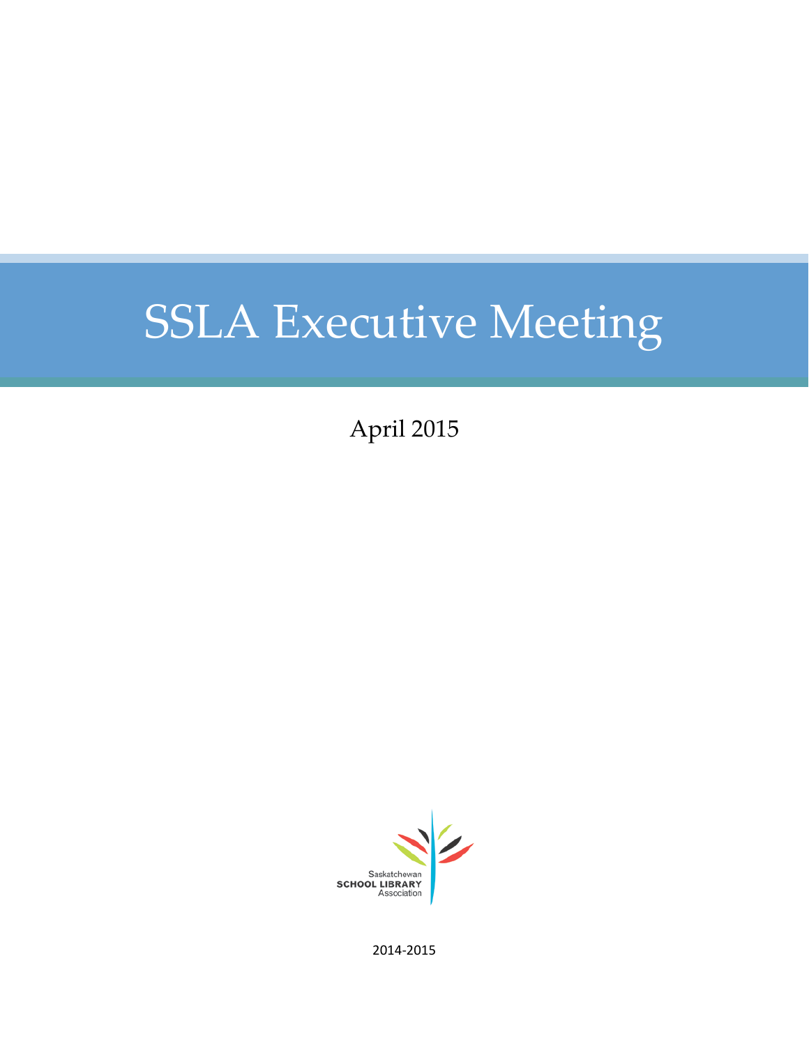# SSLA Executive Meeting

April 2015



2014-2015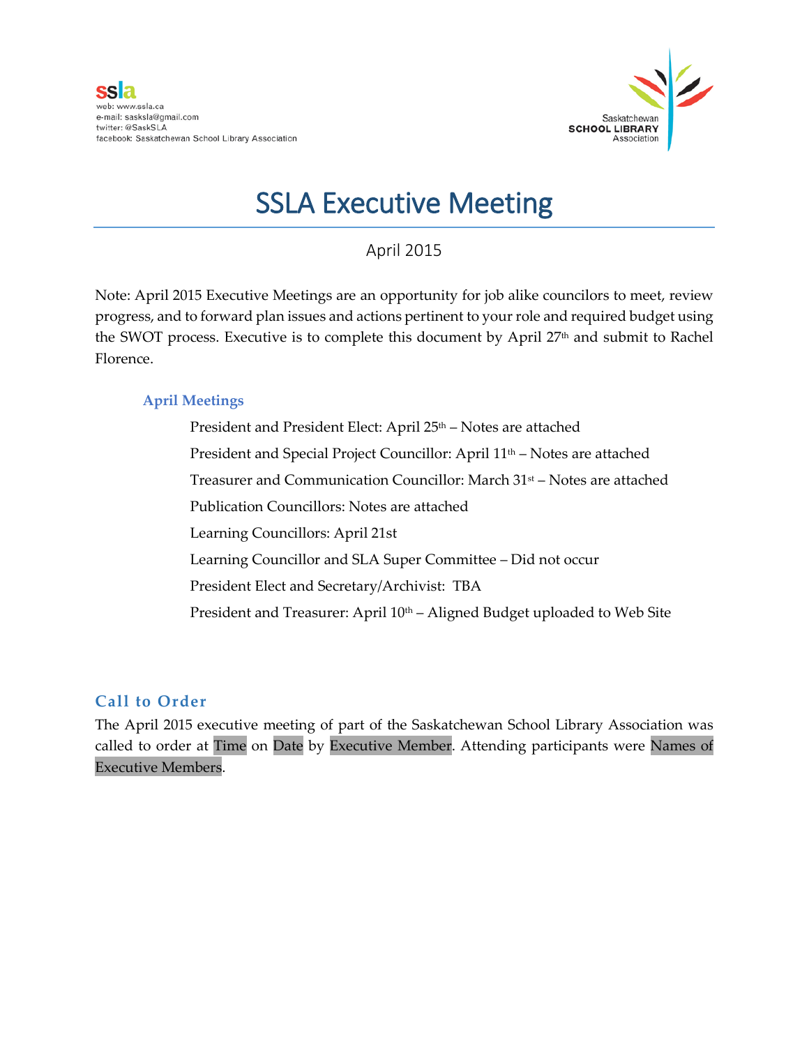

# SSLA Executive Meeting

# April 2015

Note: April 2015 Executive Meetings are an opportunity for job alike councilors to meet, review progress, and to forward plan issues and actions pertinent to your role and required budget using the SWOT process. Executive is to complete this document by April  $27<sup>th</sup>$  and submit to Rachel Florence.

# **April Meetings**

President and President Elect: April 25<sup>th</sup> – Notes are attached President and Special Project Councillor: April 11<sup>th</sup> – Notes are attached Treasurer and Communication Councillor: March 31st – Notes are attached Publication Councillors: Notes are attached Learning Councillors: April 21st Learning Councillor and SLA Super Committee – Did not occur President Elect and Secretary/Archivist: TBA President and Treasurer: April 10<sup>th</sup> – Aligned Budget uploaded to Web Site

# **Call to Order**

The April 2015 executive meeting of part of the Saskatchewan School Library Association was called to order at Time on Date by Executive Member. Attending participants were Names of Executive Members.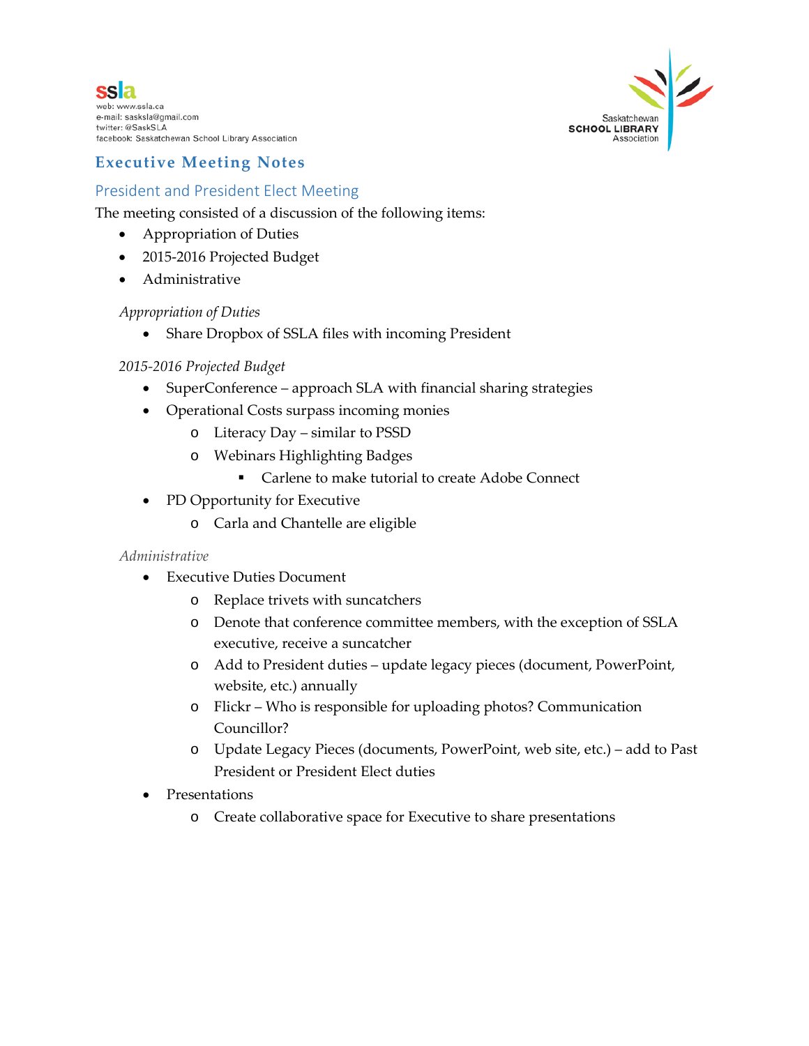



# **Executive Meeting Notes**

# President and President Elect Meeting

The meeting consisted of a discussion of the following items:

- Appropriation of Duties
- 2015-2016 Projected Budget
- Administrative

### *Appropriation of Duties*

• Share Dropbox of SSLA files with incoming President

### *2015-2016 Projected Budget*

- SuperConference approach SLA with financial sharing strategies
- Operational Costs surpass incoming monies
	- o Literacy Day similar to PSSD
	- o Webinars Highlighting Badges
		- **Carlene to make tutorial to create Adobe Connect**
- PD Opportunity for Executive
	- o Carla and Chantelle are eligible

#### *Administrative*

- Executive Duties Document
	- o Replace trivets with suncatchers
	- o Denote that conference committee members, with the exception of SSLA executive, receive a suncatcher
	- o Add to President duties update legacy pieces (document, PowerPoint, website, etc.) annually
	- o Flickr Who is responsible for uploading photos? Communication Councillor?
	- o Update Legacy Pieces (documents, PowerPoint, web site, etc.) add to Past President or President Elect duties
- Presentations
	- o Create collaborative space for Executive to share presentations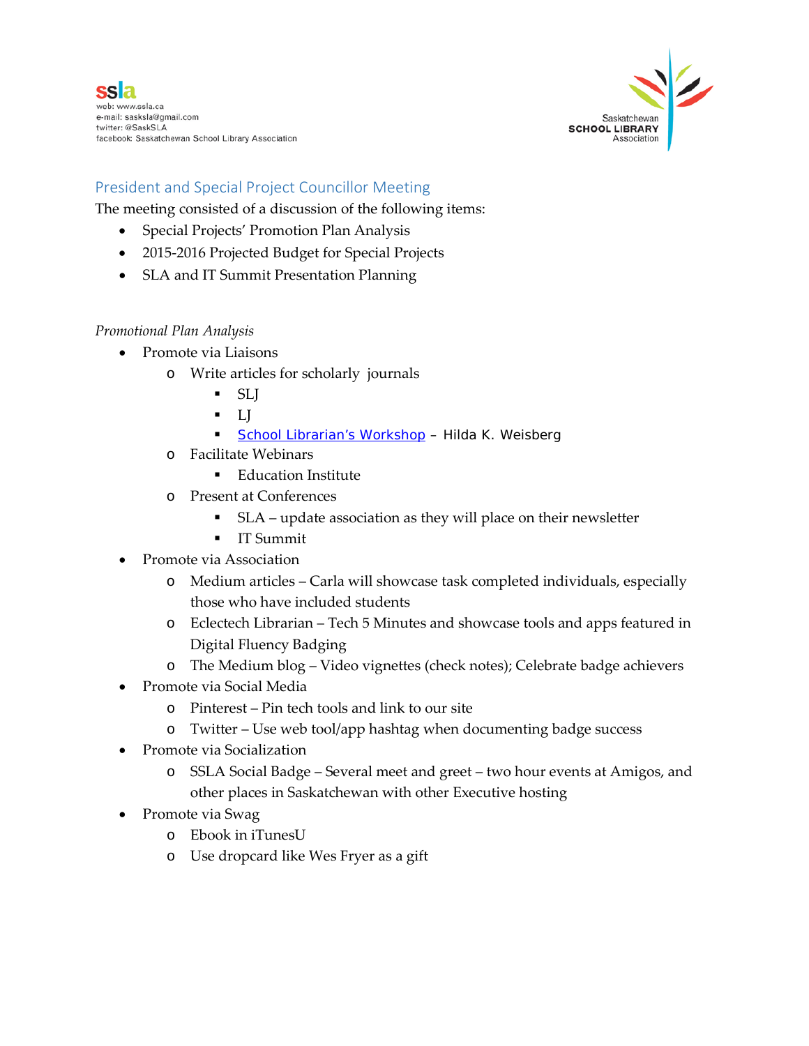

# President and Special Project Councillor Meeting

The meeting consisted of a discussion of the following items:

- Special Projects' Promotion Plan Analysis
- 2015-2016 Projected Budget for Special Projects
- SLA and IT Summit Presentation Planning

### *Promotional Plan Analysis*

- Promote via Liaisons
	- o Write articles for scholarly journals
		- SLJ
		- $\blacksquare$
		- [School Librarian's Workshop](https://www.facebook.com/hilda.weisburg/posts/10152371453847259?comment_id=35116459&offset=0&total_comments=1%23%21/groups/57409801076/) Hilda K. Weisberg
	- o Facilitate Webinars
		- **Education Institute**
	- o Present at Conferences
		- SLA update association as they will place on their newsletter
		- **IT Summit**
- Promote via Association
	- o Medium articles Carla will showcase task completed individuals, especially those who have included students
	- o Eclectech Librarian Tech 5 Minutes and showcase tools and apps featured in Digital Fluency Badging
	- o The Medium blog Video vignettes (check notes); Celebrate badge achievers
- Promote via Social Media
	- o Pinterest Pin tech tools and link to our site
	- o Twitter Use web tool/app hashtag when documenting badge success
- Promote via Socialization
	- o SSLA Social Badge Several meet and greet two hour events at Amigos, and other places in Saskatchewan with other Executive hosting
- Promote via Swag
	- o Ebook in iTunesU
	- o Use dropcard like Wes Fryer as a gift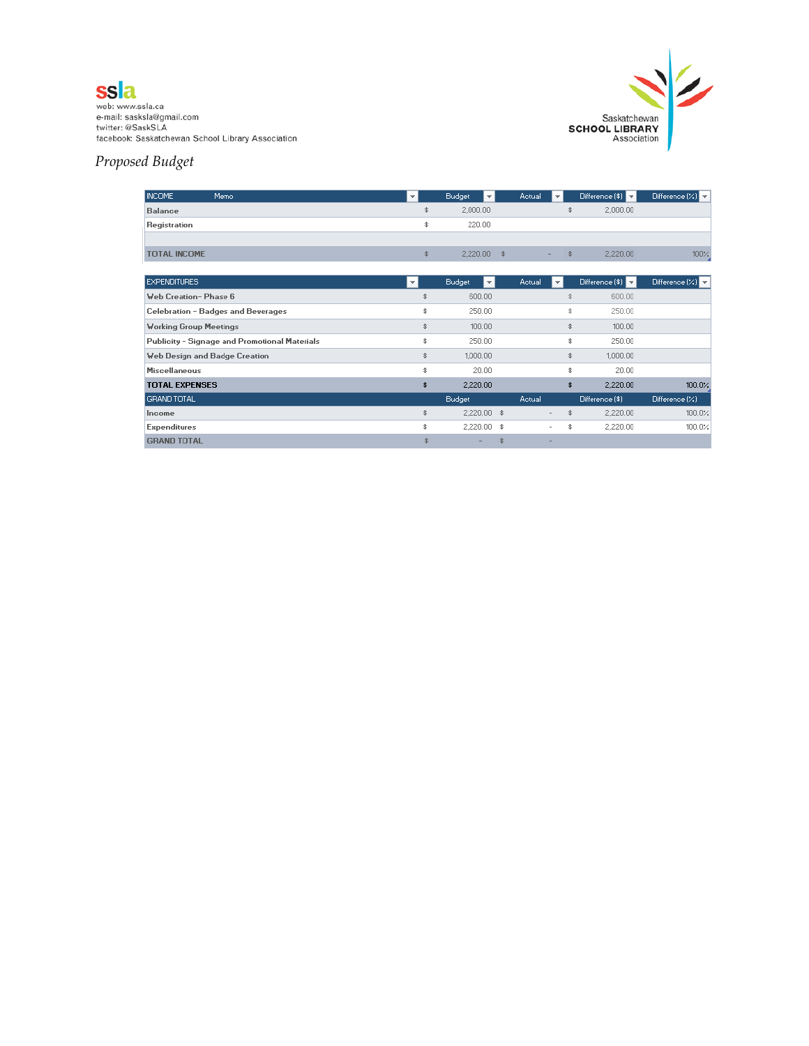



# *Proposed Budget*

| INCOME.<br>Memo                               | ▼                        | <b>Budget</b>    | Actual |                          | Difference $(\$)$ | Difference $(X)$                 |
|-----------------------------------------------|--------------------------|------------------|--------|--------------------------|-------------------|----------------------------------|
| <b>Balance</b>                                | \$                       | 2,000.00         |        |                          | \$<br>2,000.00    |                                  |
| Registration                                  | \$                       | 220.00           |        |                          |                   |                                  |
|                                               |                          |                  |        |                          |                   |                                  |
| <b>TOTAL INCOME</b>                           | \$                       | 2,220.00         | \$     |                          | \$<br>2,220.00    | 100%                             |
|                                               |                          |                  |        |                          |                   |                                  |
| <b>EXPENDITURES</b>                           | $\overline{\phantom{a}}$ | Budget<br>$\vee$ | Actual | ΨI                       | Difference (\$)   | Difference $(X)$ $\triangledown$ |
| <b>Web Creation-Phase 6</b>                   | \$                       | 600.00           |        |                          | 600.00            |                                  |
| Celebration - Badges and Beverages            | \$                       | 250.00           |        |                          | \$<br>250.00      |                                  |
| <b>Working Group Meetings</b>                 | \$                       | 100.00           |        |                          | \$<br>100.00      |                                  |
| Publicity - Signage and Promotional Materials | \$                       | 250.00           |        |                          | \$<br>250.00      |                                  |
| Web Design and Badge Creation                 | \$                       | 1,000.00         |        |                          | \$<br>1,000.00    |                                  |
| <b>Miscellaneous</b>                          | \$                       | 20.00            |        |                          | \$<br>20.00       |                                  |
| <b>TOTAL EXPENSES</b>                         | \$                       | 2,220.00         |        |                          | \$<br>2,220.00    | 100.0%                           |
| <b>GRAND TOTAL</b>                            |                          | Budget           | Actual |                          | Difference (\$)   | Difference(X)                    |
| Income                                        | \$                       | 2,220.00 \$      |        | $\overline{\phantom{0}}$ | \$<br>2,220.00    | 100.0%                           |
| <b>Expenditures</b>                           | \$                       | 2,220.00         | - \$   |                          | \$<br>2,220.00    | 100.0%                           |
| <b>GRAND TOTAL</b>                            | \$                       |                  |        | -                        |                   |                                  |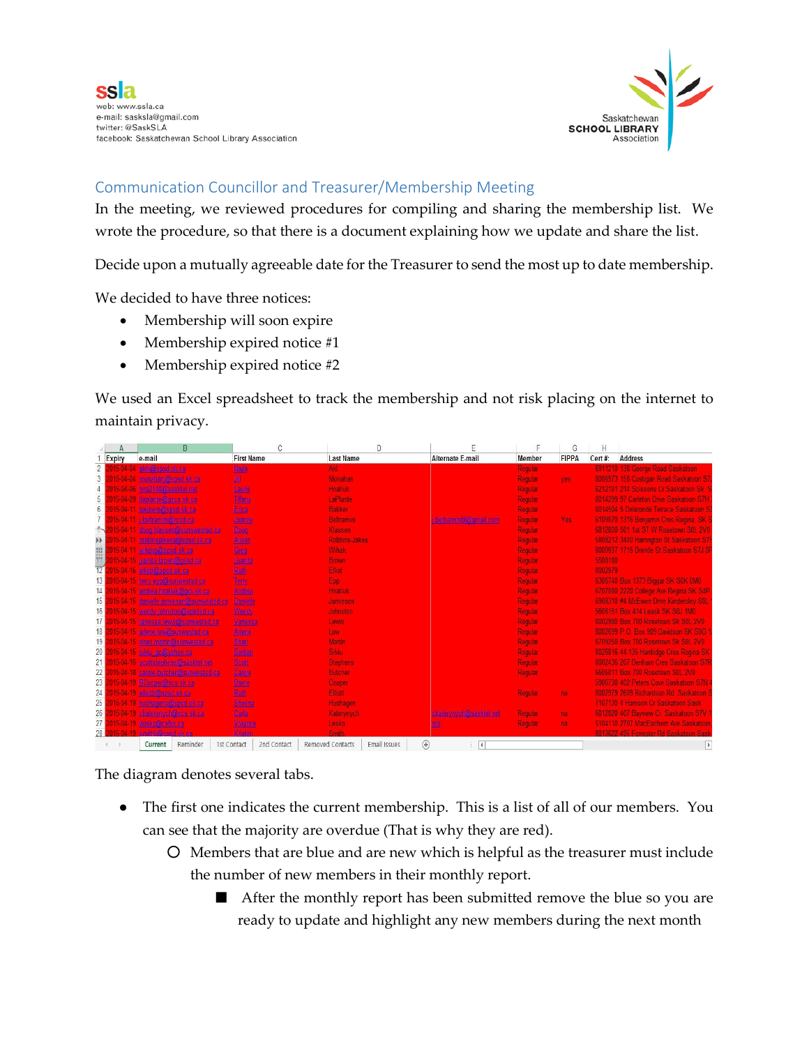

# Communication Councillor and Treasurer/Membership Meeting

In the meeting, we reviewed procedures for compiling and sharing the membership list. We wrote the procedure, so that there is a document explaining how we update and share the list.

Decide upon a mutually agreeable date for the Treasurer to send the most up to date membership.

We decided to have three notices:

- Membership will soon expire
- Membership expired notice #1
- Membership expired notice #2

We used an Excel spreadsheet to track the membership and not risk placing on the internet to maintain privacy.

|                 | A             | B                                      |                   |                   | D                                           |                            |                | G              | Н       |                                          |
|-----------------|---------------|----------------------------------------|-------------------|-------------------|---------------------------------------------|----------------------------|----------------|----------------|---------|------------------------------------------|
|                 | <b>Expiry</b> | e-mail                                 | <b>First Name</b> | Last Name         |                                             | <b>Alternate E-mail</b>    | <b>Member</b>  | <b>FIPPA</b>   | Cert#:  | <b>Address</b>                           |
| $\overline{2}$  | -04           | akin@spsd.sk.ca                        | Mada              | Akl               |                                             |                            | Regular        |                |         | 6911210 138 George Road Saskatoon        |
| 3               |               | 015-04-04 monahan(@apset.sk.ca)        | 趣                 | Monahan           |                                             |                            | Regular        | yes.           |         | 8006973 158 Costigan Road Saskatoon S7   |
| 4               |               | 015-04-06 hr.a2140@sasktel.net         | Laute             | Hnatiuk           |                                             |                            | Regular        |                |         | 6212101 214 Scissons Cr Saskatoon Sk     |
| 5               |               | 015-04-09 (laplante@gacs.ak.ca         | Tiffany           | LaPlante          |                                             |                            | Regular        |                |         | 8014299 97 Carleton Drive Saskatoon S7H  |
| $6\phantom{.}6$ |               | 015-04-11 bakkere@sped.sk.ca           | Erica             | Bakker            |                                             |                            | Regular        |                |         | 8014504 5 Delaronde Terrace Saskatoon S  |
|                 |               | 015-04-11 (beltrammi@rcadical          | Joanne            | <b>Beltramini</b> |                                             | teltemmin@email.com        | Regular        | Yes:           |         | 6109070 1316 Benjamin Cres Regina, SK 5  |
| $^+$            |               | 015-04-11 doug Hassen@aunswestsd.ca    | Doug              | Klassen           |                                             |                            | Regular        |                |         | 6812800 501 1st ST W Rosetown S0L 2V0    |
| H)              |               | 015-04-11 redonnsjeke sal@epad.sk.ca   | Alison            | Robbins-Jakes     |                                             |                            | Regular        |                |         | 5808212 3440 Harrington St Saskatoon S7f |
| 盟門              |               | 015-04-11 winako@spsd.sk.ca            | Grad              | Wihak             |                                             |                            | <b>Regular</b> |                |         | 8000937 1715 Drinkle St Saskatoon S7J 0F |
|                 |               | 015-04-15 juanita brown@gsed.ca        | Juanita           | <b>Brown</b>      |                                             |                            | Regular        |                | 5508180 |                                          |
| $\overline{12}$ |               | 015-04-15 ellom@apsd.sk.ca             | <b>Buth</b>       | Elfiot            |                                             |                            | Regular        |                | 8002979 |                                          |
| 13              |               | 015-04-15 berry empfoliomwested ca-    | Teny              | Epp               |                                             |                            | Regular        |                |         | 6306740 Box 1373 Biggar SK S0K 0M0       |
| 14              |               | 2015-04-15 andrea hinatu h@gov.sk.ca   | <b>Andrea</b>     | Hnatiuk           |                                             |                            | Regular        |                |         | 6707080 2220 College Ave Regina SK S4P   |
| 15              |               | 015-04-15 damelle jamesen@sunwestsd.ca | <b>Damelle</b>    | Jamieson          |                                             |                            | Regular        |                |         | 6908310 #4 McEwen Drive Kindersley SOL   |
| 16              |               | 2015-04-15 wendy jointston@spiritsd.ca | <b>Wendy</b>      | <b>Johnston</b>   |                                             |                            | Regular        |                |         | 5606151 Box 414 Leask SK StJ 1M0         |
| 17              |               | 015-04-15 vanessa leviis@sunwestsd.ca  | Vanessa           | Lewis             |                                             |                            | Regular        |                |         | 8002980 Box 700 Rosetown Sk S0L 2V0      |
| 18              |               | 2015-04-15 ariene low@sunweated.ca     | Adans             | Low               |                                             |                            | Regular        |                |         | 8002699 P.O. Box 909 Davidson SK S0G     |
| 19              |               | 015-04-15 shan martin@sunwestsd.ca     | Shan              | Martin            |                                             |                            | Regular        |                |         | 6709250 Box 700 Rosetown Sk S0L 2V0      |
| 20              |               | 1015-04-15 sivil go@yahoo.ca           | <b>Serban</b>     | Silviu            |                                             |                            | Regular        |                |         | 8026816 44-135 Hanbidge Cres Regina SK   |
| 21              |               | 015-04-16 sectistephens@sasktel.net    | Scott             | <b>Stephens</b>   |                                             |                            | Regular        |                |         | 8002436 207 Denham Cres Saskatoon S7R    |
| 22              |               | 015-04-18 canale butcher@sunwested.ca  | Carole            | Butcher           |                                             |                            | Regular        |                |         | 6606011 Box 700 Rosetown S0L 2V0         |
| 23              |               | 115-04-19 BConner@scs.ek.ca            | Barne             | Cooper            |                                             |                            |                |                |         | 5906730 402 Peters Cove Saskatoon S7N    |
| 24              |               | 015-04-19 ellettr@apsd.sk.ca           | Ruth              | <b>Eliott</b>     |                                             |                            | Regular,       | na.            |         | 8002979 2609 Richardson Rd Saskatoon 5   |
| 25              |               | 15-04-19 hushagens@sped.sk.ca          | Sheena            | Hushagen          |                                             |                            |                |                |         | 7107130 4 Hamson Cr Saskatoon Sask       |
| 26              |               | 915-04-19 ckaterymych@scs.sk.ca        | Carla             | Katerynych        |                                             | ckateryryst@sasktd.net     | Regular,       | na.            |         | 6012020 407 Bayview Cr. Saskatoon S7V    |
| 27              |               | 015-04-19 vien kol@celsk.ca            | <b>Vivianne</b>   | Lesko             |                                             | n'a                        | Regular        | n <sub>3</sub> |         | 5104110 2707 MacEachern Ave Saskatoon    |
| 28              |               | 115-04-19 amithiv@assd.sk.ca.          | Kirstan           | <b>Rendb</b>      |                                             |                            |                |                |         | 8013622 495 Entrester Rd Saskatoon Sask  |
|                 |               | Reminder<br>1st Contact<br>Current     | 2nd Contact       | Removed Contacts  | $^{\tiny{\textregistered}}$<br>Email Issues | ă.<br>$\blacktriangleleft$ |                |                |         | $\blacktriangleright$                    |

The diagram denotes several tabs.

- The first one indicates the current membership. This is a list of all of our members. You can see that the majority are overdue (That is why they are red).
	- Members that are blue and are new which is helpful as the treasurer must include the number of new members in their monthly report.
		- After the monthly report has been submitted remove the blue so you are ready to update and highlight any new members during the next month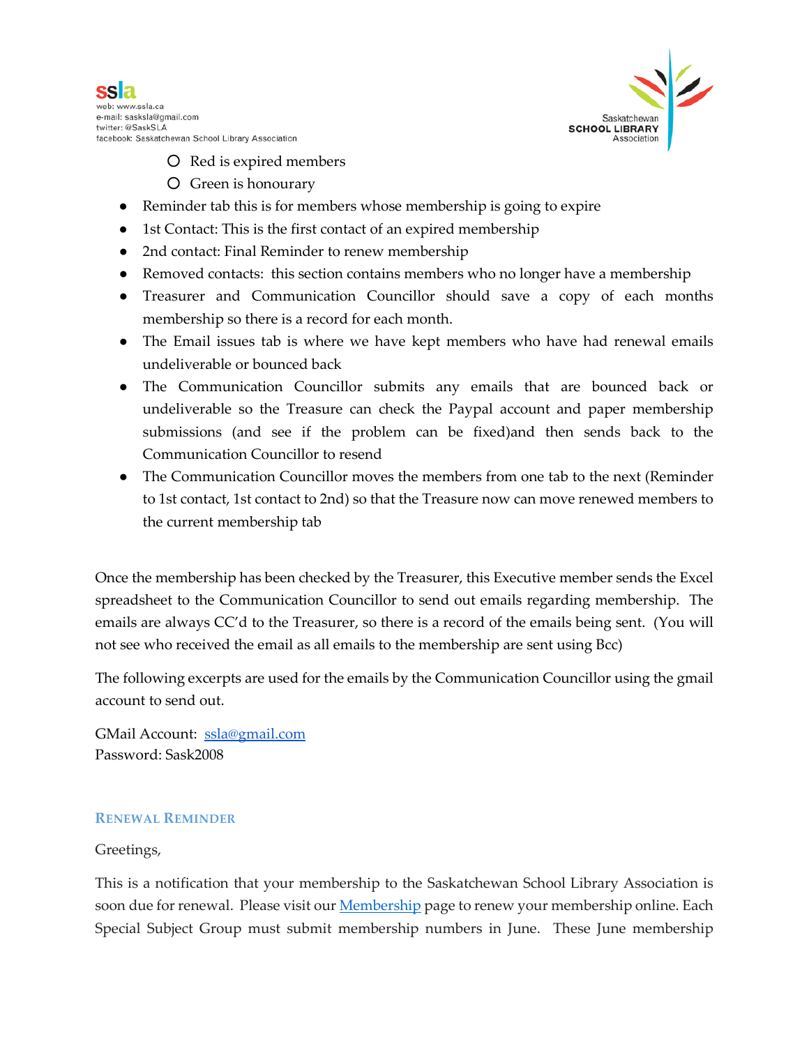



- Red is expired members
- Green is honourary
- Reminder tab this is for members whose membership is going to expire
- 1st Contact: This is the first contact of an expired membership
- 2nd contact: Final Reminder to renew membership
- Removed contacts: this section contains members who no longer have a membership
- Treasurer and Communication Councillor should save a copy of each months membership so there is a record for each month.
- The Email issues tab is where we have kept members who have had renewal emails undeliverable or bounced back
- The Communication Councillor submits any emails that are bounced back or undeliverable so the Treasure can check the Paypal account and paper membership submissions (and see if the problem can be fixed)and then sends back to the Communication Councillor to resend
- The Communication Councillor moves the members from one tab to the next (Reminder to 1st contact, 1st contact to 2nd) so that the Treasure now can move renewed members to the current membership tab

Once the membership has been checked by the Treasurer, this Executive member sends the Excel spreadsheet to the Communication Councillor to send out emails regarding membership. The emails are always CC'd to the Treasurer, so there is a record of the emails being sent. (You will not see who received the email as all emails to the membership are sent using Bcc)

The following excerpts are used for the emails by the Communication Councillor using the gmail account to send out.

GMail Account: [ssla@gmail.com](mailto:ssla@gmail.com) Password: Sask2008

#### **RENEWAL REMINDER**

#### Greetings,

This is a notification that your membership to the Saskatchewan School Library Association is soon due fo[r](http://ssla.ca/SSLA%20Store?&_suid=134955505403503556590583149088%23./Events?&_suid=135247640257404543855355296051) renewal. Please visit our **[Membership](http://ssla.ca/SSLA%20Store?&_suid=134955505403503556590583149088%23./Events?&_suid=135247640257404543855355296051)** page to renew your membership online. Each Special Subject Group must submit membership numbers in June. These June membership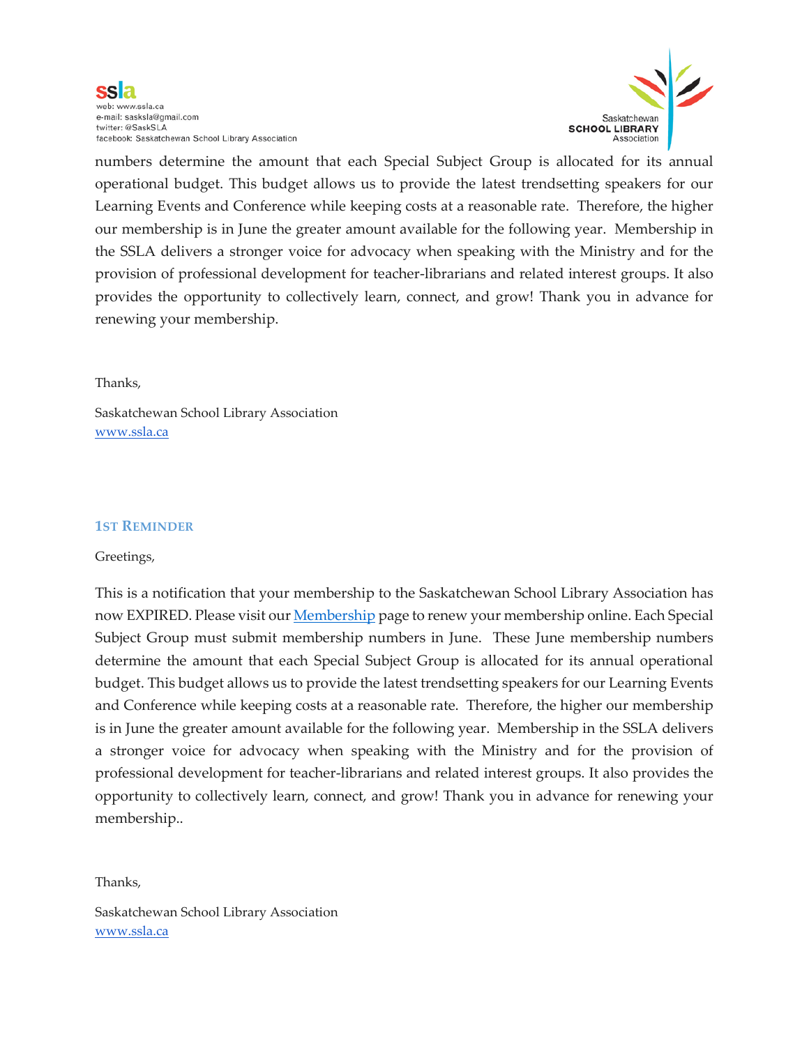ssla web: www.ssla.ca e-mail: sasksla@gmail.com twitter: @SaskSLA facebook: Saskatchewan School Library Association



numbers determine the amount that each Special Subject Group is allocated for its annual operational budget. This budget allows us to provide the latest trendsetting speakers for our Learning Events and Conference while keeping costs at a reasonable rate. Therefore, the higher our membership is in June the greater amount available for the following year. Membership in the SSLA delivers a stronger voice for advocacy when speaking with the Ministry and for the provision of professional development for teacher-librarians and related interest groups. It also provides the opportunity to collectively learn, connect, and grow! Thank you in advance for renewing your membership.

#### Thanks,

Saskatchewan School Library Association [www.ssla.ca](http://www.ssla.ca/)

#### **1ST REMINDER**

#### Greetings,

This is a notification that your membership to the Saskatchewan School Library Association has now EXPIRED. Please visit ou[r](http://ssla.ca/SSLA%20Store?&_suid=134955505403503556590583149088%23./Events?&_suid=135247640257404543855355296051) **[Membership](http://ssla.ca/SSLA%20Store?&_suid=134955505403503556590583149088%23./Events?&_suid=135247640257404543855355296051)** page to renew your membership online. Each Special Subject Group must submit membership numbers in June. These June membership numbers determine the amount that each Special Subject Group is allocated for its annual operational budget. This budget allows us to provide the latest trendsetting speakers for our Learning Events and Conference while keeping costs at a reasonable rate. Therefore, the higher our membership is in June the greater amount available for the following year. Membership in the SSLA delivers a stronger voice for advocacy when speaking with the Ministry and for the provision of professional development for teacher-librarians and related interest groups. It also provides the opportunity to collectively learn, connect, and grow! Thank you in advance for renewing your membership..

Thanks,

Saskatchewan School Library Association [www.ssla.ca](http://www.ssla.ca/)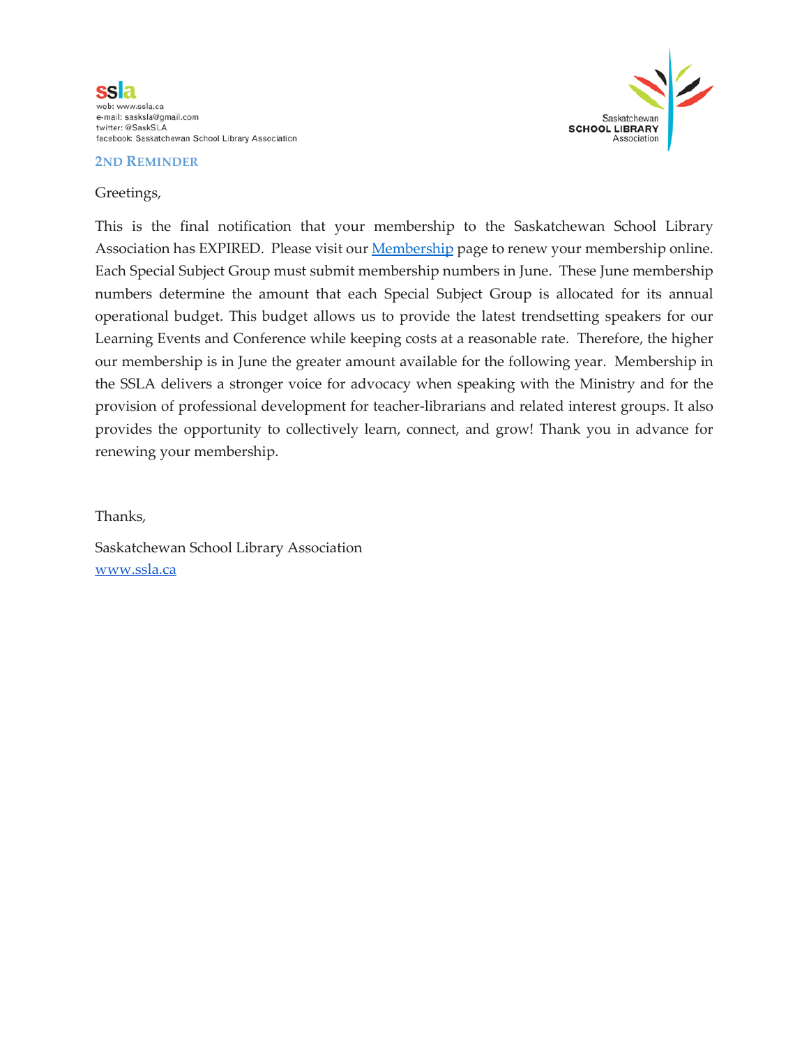



#### Greetings,



This is the final notification that your membership to the Saskatchewan School Library Association has EXPIRED. Please visit our **[Membership](http://ssla.ca/SSLA%20Store?&_suid=134955505403503556590583149088%23./Events?&_suid=135247640257404543855355296051)** page to renew your membership online. Each Special Subject Group must submit membership numbers in June. These June membership numbers determine the amount that each Special Subject Group is allocated for its annual operational budget. This budget allows us to provide the latest trendsetting speakers for our Learning Events and Conference while keeping costs at a reasonable rate. Therefore, the higher our membership is in June the greater amount available for the following year. Membership in the SSLA delivers a stronger voice for advocacy when speaking with the Ministry and for the provision of professional development for teacher-librarians and related interest groups. It also provides the opportunity to collectively learn, connect, and grow! Thank you in advance for renewing your membership.

Thanks,

Saskatchewan School Library Association [www.ssla.ca](http://www.ssla.ca/)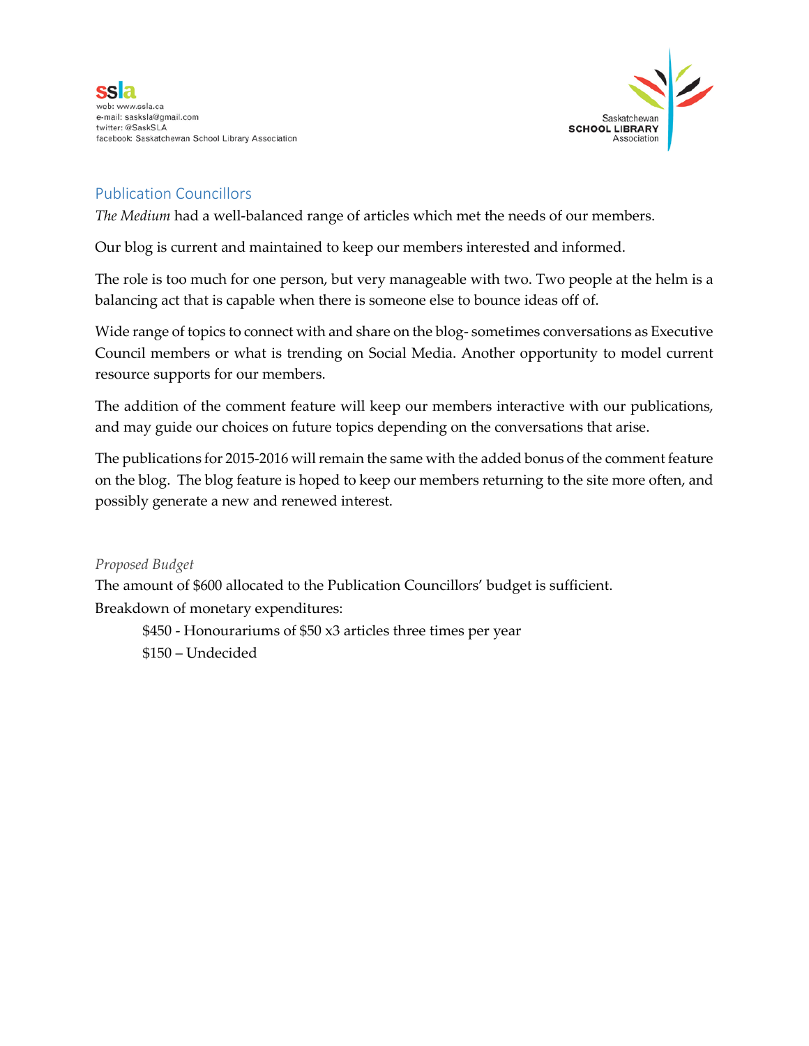



# Publication Councillors

*The Medium* had a well-balanced range of articles which met the needs of our members.

Our blog is current and maintained to keep our members interested and informed.

The role is too much for one person, but very manageable with two. Two people at the helm is a balancing act that is capable when there is someone else to bounce ideas off of.

Wide range of topics to connect with and share on the blog- sometimes conversations as Executive Council members or what is trending on Social Media. Another opportunity to model current resource supports for our members.

The addition of the comment feature will keep our members interactive with our publications, and may guide our choices on future topics depending on the conversations that arise.

The publications for 2015-2016 will remain the same with the added bonus of the comment feature on the blog. The blog feature is hoped to keep our members returning to the site more often, and possibly generate a new and renewed interest.

*Proposed Budget*

The amount of \$600 allocated to the Publication Councillors' budget is sufficient. Breakdown of monetary expenditures:

\$450 - Honourariums of \$50 x3 articles three times per year \$150 – Undecided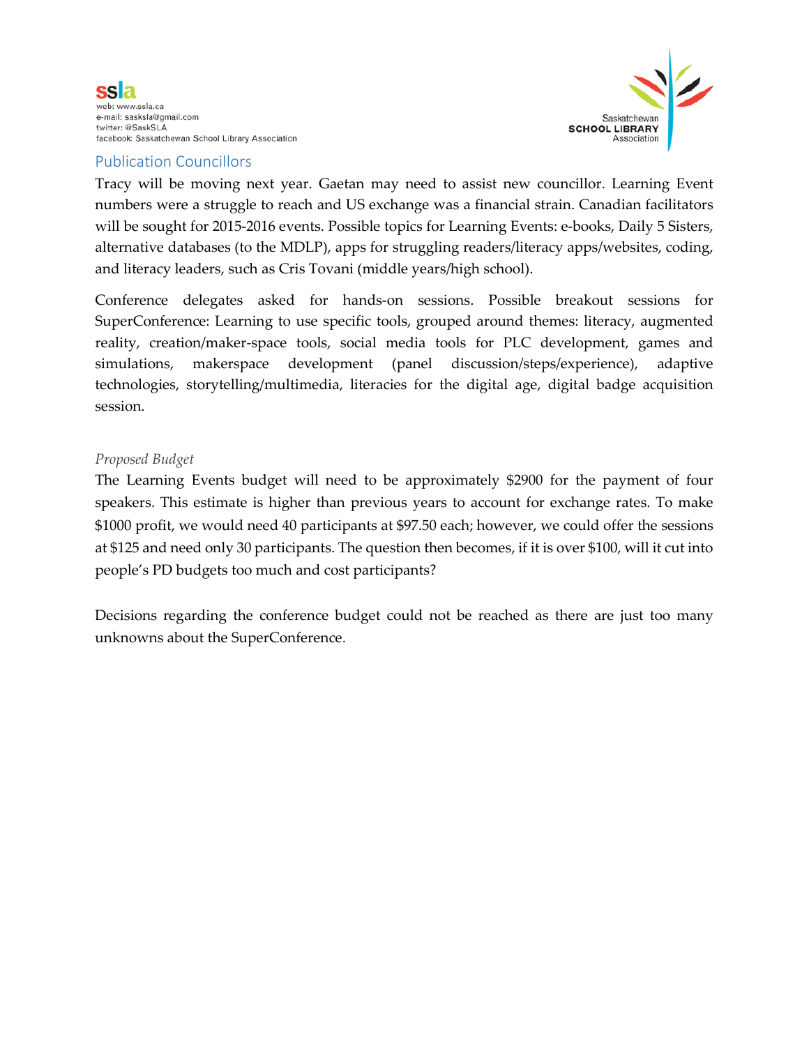



# Publication Councillors

Tracy will be moving next year. Gaetan may need to assist new councillor. Learning Event numbers were a struggle to reach and US exchange was a financial strain. Canadian facilitators will be sought for 2015-2016 events. Possible topics for Learning Events: e-books, Daily 5 Sisters, alternative databases (to the MDLP), apps for struggling readers/literacy apps/websites, coding, and literacy leaders, such as Cris Tovani (middle years/high school).

Conference delegates asked for hands-on sessions. Possible breakout sessions for SuperConference: Learning to use specific tools, grouped around themes: literacy, augmented reality, creation/maker-space tools, social media tools for PLC development, games and simulations, makerspace development (panel discussion/steps/experience), adaptive technologies, storytelling/multimedia, literacies for the digital age, digital badge acquisition session.

### *Proposed Budget*

The Learning Events budget will need to be approximately \$2900 for the payment of four speakers. This estimate is higher than previous years to account for exchange rates. To make \$1000 profit, we would need 40 participants at \$97.50 each; however, we could offer the sessions at \$125 and need only 30 participants. The question then becomes, if it is over \$100, will it cut into people's PD budgets too much and cost participants?

Decisions regarding the conference budget could not be reached as there are just too many unknowns about the SuperConference.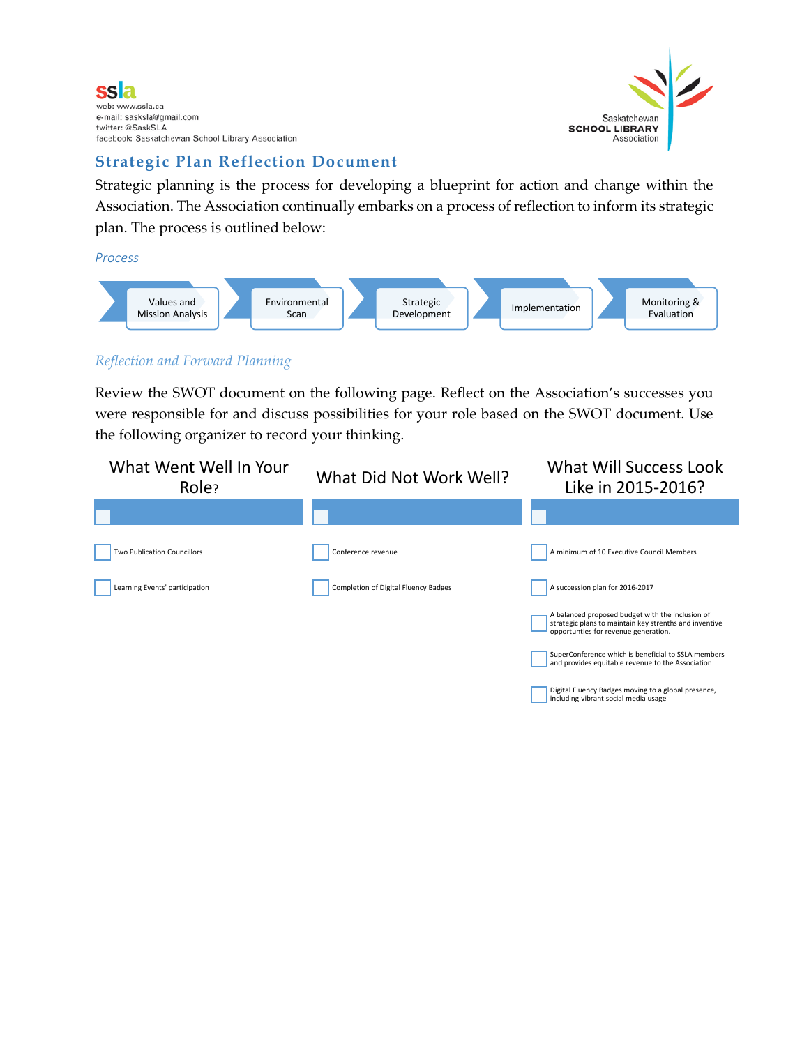



Digital Fluency Badges moving to a global presence, including vibrant social media usage

# **Strategic Plan Reflection Document**

Strategic planning is the process for developing a blueprint for action and change within the Association. The Association continually embarks on a process of reflection to inform its strategic plan. The process is outlined below:

*Process*



## *Reflection and Forward Planning*

Review the SWOT document on the following page. Reflect on the Association's successes you were responsible for and discuss possibilities for your role based on the SWOT document. Use the following organizer to record your thinking.

| What Went Well In Your<br>Role?    | What Did Not Work Well?              | <b>What Will Success Look</b><br>Like in 2015-2016?                                                                                                |
|------------------------------------|--------------------------------------|----------------------------------------------------------------------------------------------------------------------------------------------------|
|                                    |                                      |                                                                                                                                                    |
| <b>Two Publication Councillors</b> | Conference revenue                   | A minimum of 10 Executive Council Members                                                                                                          |
| Learning Events' participation     | Completion of Digital Fluency Badges | A succession plan for 2016-2017                                                                                                                    |
|                                    |                                      | A balanced proposed budget with the inclusion of<br>strategic plans to maintain key strenths and inventive<br>opportunties for revenue generation. |
|                                    |                                      | SuperConference which is beneficial to SSLA members<br>and provides equitable revenue to the Association                                           |
|                                    |                                      |                                                                                                                                                    |